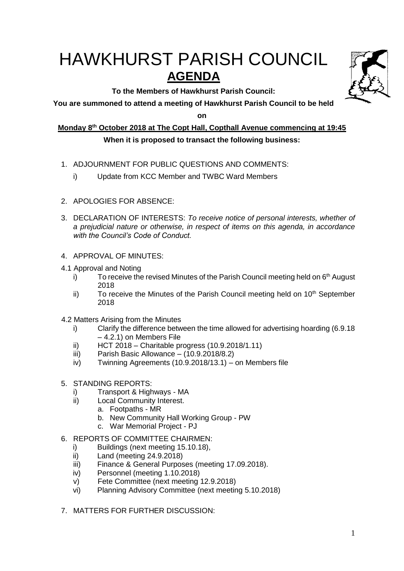# HAWKHURST PARISH COUNCIL **AGENDA**

**To the Members of Hawkhurst Parish Council:**



**on**

**Monday 8th October 2018 at The Copt Hall, Copthall Avenue commencing at 19:45**

# **When it is proposed to transact the following business:**

- 1. ADJOURNMENT FOR PUBLIC QUESTIONS AND COMMENTS:
	- i) Update from KCC Member and TWBC Ward Members
- 2. APOLOGIES FOR ABSENCE:
- 3. DECLARATION OF INTERESTS: *To receive notice of personal interests, whether of a prejudicial nature or otherwise, in respect of items on this agenda, in accordance with the Council's Code of Conduct.*
- 4. APPROVAL OF MINUTES:
- 4.1 Approval and Noting
	- i) To receive the revised Minutes of the Parish Council meeting held on  $6<sup>th</sup>$  August 2018
	- ii) To receive the Minutes of the Parish Council meeting held on  $10<sup>th</sup>$  September 2018
- 4.2 Matters Arising from the Minutes
	- i) Clarify the difference between the time allowed for advertising hoarding (6.9.18 – 4.2.1) on Members File
	- ii) HCT 2018 Charitable progress (10.9.2018/1.11)
	- $\overline{\text{iii}}$  Parish Basic Allowance (10.9.2018/8.2)
	- iv) Twinning Agreements (10.9.2018/13.1) on Members file
- 5. STANDING REPORTS:
	- i) Transport & Highways MA
	- ii) Local Community Interest.
		- a. Footpaths MR
		- b. New Community Hall Working Group PW
		- c. War Memorial Project PJ
- 6. REPORTS OF COMMITTEE CHAIRMEN:
	- i) Buildings (next meeting 15.10.18),
	- ii) Land (meeting 24.9.2018)
	- iii) Finance & General Purposes (meeting 17.09.2018).
	- iv) Personnel (meeting 1.10.2018)
	- v) Fete Committee (next meeting 12.9.2018)
	- vi) Planning Advisory Committee (next meeting 5.10.2018)
- 7. MATTERS FOR FURTHER DISCUSSION: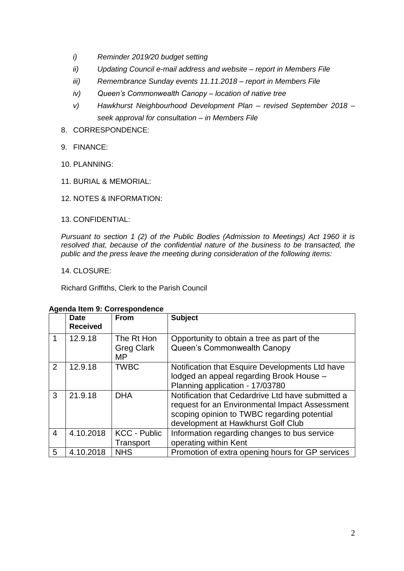- *i) Reminder 2019/20 budget setting*
- *ii) Updating Council e-mail address and website – report in Members File*
- *iii) Remembrance Sunday events 11.11.2018 – report in Members File*
- *iv) Queen's Commonwealth Canopy – location of native tree*
- *v) Hawkhurst Neighbourhood Development Plan – revised September 2018 – seek approval for consultation – in Members File*
- 8. CORRESPONDENCE:
- 9. FINANCE:
- 10. PLANNING:
- 11. BURIAL & MEMORIAL:
- 12. NOTES & INFORMATION:
- 13. CONFIDENTIAL:

*Pursuant to section 1 (2) of the Public Bodies (Admission to Meetings) Act 1960 it is resolved that, because of the confidential nature of the business to be transacted, the public and the press leave the meeting during consideration of the following items:*

14. CLOSURE:

Richard Griffiths, Clerk to the Parish Council

|                | <b>Date</b><br><b>Received</b> | <b>From</b>                           | <b>Subject</b>                                                                                                                                                                           |
|----------------|--------------------------------|---------------------------------------|------------------------------------------------------------------------------------------------------------------------------------------------------------------------------------------|
|                | 12.9.18                        | The Rt Hon<br><b>Greg Clark</b><br>МP | Opportunity to obtain a tree as part of the<br>Queen's Commonwealth Canopy                                                                                                               |
| $\overline{2}$ | 12.9.18                        | <b>TWBC</b>                           | Notification that Esquire Developments Ltd have<br>lodged an appeal regarding Brook House -<br>Planning application - 17/03780                                                           |
| 3              | 21.9.18                        | <b>DHA</b>                            | Notification that Cedardrive Ltd have submitted a<br>request for an Environmental Impact Assessment<br>scoping opinion to TWBC regarding potential<br>development at Hawkhurst Golf Club |
| $\overline{4}$ | 4.10.2018                      | <b>KCC - Public</b><br>Transport      | Information regarding changes to bus service<br>operating within Kent                                                                                                                    |
| 5              | 4.10.2018                      | <b>NHS</b>                            | Promotion of extra opening hours for GP services                                                                                                                                         |

#### **Agenda Item 9: Correspondence**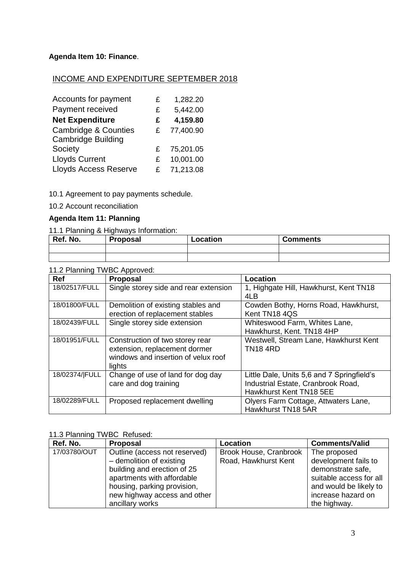# **Agenda Item 10: Finance**.

## INCOME AND EXPENDITURE SEPTEMBER 2018

| Accounts for payment            | £  | 1,282.20  |
|---------------------------------|----|-----------|
| Payment received                | £  | 5,442.00  |
| <b>Net Expenditure</b>          | £  | 4,159.80  |
| <b>Cambridge &amp; Counties</b> | £  | 77,400.90 |
| <b>Cambridge Building</b>       |    |           |
| Society                         | £  | 75,201.05 |
| <b>Lloyds Current</b>           | £  | 10,001.00 |
| <b>Lloyds Access Reserve</b>    | £. | 71,213.08 |

10.1 Agreement to pay payments schedule.

10.2 Account reconciliation

## **Agenda Item 11: Planning**

11.1 Planning & Highways Information:

| Ref. No. | <b>Proposal</b> | Location | <b>Comments</b> |
|----------|-----------------|----------|-----------------|
|          |                 |          |                 |
|          |                 |          |                 |

## 11.2 Planning TWBC Approved:

| <b>Ref</b>     | <b>Proposal</b>                                                                                                   | Location                                                                                                    |
|----------------|-------------------------------------------------------------------------------------------------------------------|-------------------------------------------------------------------------------------------------------------|
| 18/02517/FULL  | Single storey side and rear extension                                                                             | 1, Highgate Hill, Hawkhurst, Kent TN18<br>4LB                                                               |
| 18/01800/FULL  | Demolition of existing stables and<br>erection of replacement stables                                             | Cowden Bothy, Horns Road, Hawkhurst,<br>Kent TN18 4QS                                                       |
| 18/02439/FULL  | Single storey side extension                                                                                      | Whiteswood Farm, Whites Lane,<br>Hawkhurst, Kent. TN18 4HP                                                  |
| 18/01951/FULL  | Construction of two storey rear<br>extension, replacement dormer<br>windows and insertion of velux roof<br>lights | Westwell, Stream Lane, Hawkhurst Kent<br><b>TN184RD</b>                                                     |
| 18/02374/ FULL | Change of use of land for dog day<br>care and dog training                                                        | Little Dale, Units 5,6 and 7 Springfield's<br>Industrial Estate, Cranbrook Road,<br>Hawkhurst Kent TN18 5EE |
| 18/02289/FULL  | Proposed replacement dwelling                                                                                     | Olyers Farm Cottage, Attwaters Lane,<br>Hawkhurst TN18 5AR                                                  |

## 11.3 Planning TWBC Refused:

| Ref. No.     | <b>Proposal</b>               | Location               | <b>Comments/Valid</b>   |
|--------------|-------------------------------|------------------------|-------------------------|
| 17/03780/OUT | Outline (access not reserved) | Brook House, Cranbrook | The proposed            |
|              | - demolition of existing      | Road, Hawkhurst Kent   | development fails to    |
|              | building and erection of 25   |                        | demonstrate safe,       |
|              | apartments with affordable    |                        | suitable access for all |
|              | housing, parking provision,   |                        | and would be likely to  |
|              | new highway access and other  |                        | increase hazard on      |
|              | ancillary works               |                        | the highway.            |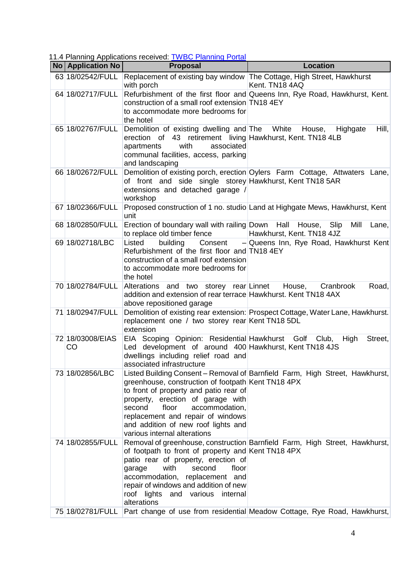11.4 Planning Applications received: [TWBC Planning Portal](http://www.tunbridgewells.gov.uk/residents/planning/planning-application-search)

| No Application No      | <b>Proposal</b>                                                                                                                                                                                                                                                                    | <b>Location</b>                                                                          |
|------------------------|------------------------------------------------------------------------------------------------------------------------------------------------------------------------------------------------------------------------------------------------------------------------------------|------------------------------------------------------------------------------------------|
| 63 18/02542/FULL       | with porch                                                                                                                                                                                                                                                                         | Replacement of existing bay window The Cottage, High Street, Hawkhurst<br>Kent. TN18 4AQ |
| 64 18/02717/FULL       | construction of a small roof extension TN18 4EY<br>to accommodate more bedrooms for<br>the hotel                                                                                                                                                                                   | Refurbishment of the first floor and Queens Inn, Rye Road, Hawkhurst, Kent.              |
| 65 18/02767/FULL       | Demolition of existing dwelling and The White<br>erection of 43 retirement living Hawkhurst, Kent. TN18 4LB<br>with<br>associated<br>apartments<br>communal facilities, access, parking<br>and landscaping                                                                         | Hill,<br>House, Highgate                                                                 |
| 66 18/02672/FULL       | of front and side single storey Hawkhurst, Kent TN18 5AR<br>extensions and detached garage /<br>workshop                                                                                                                                                                           | Demolition of existing porch, erection Oylers Farm Cottage, Attwaters Lane,              |
| 67 18/02366/FULL       | unit                                                                                                                                                                                                                                                                               | Proposed construction of 1 no. studio Land at Highgate Mews, Hawkhurst, Kent             |
| 68 18/02850/FULL       | Erection of boundary wall with railing Down Hall House, Slip<br>to replace old timber fence                                                                                                                                                                                        | Mill<br>Lane,<br>Hawkhurst, Kent. TN18 4JZ                                               |
| 69 18/02718/LBC        | Listed<br>Consent<br>building<br>Refurbishment of the first floor and TN18 4EY<br>construction of a small roof extension<br>to accommodate more bedrooms for<br>the hotel                                                                                                          | $-$ Queens Inn, Rye Road, Hawkhurst Kent                                                 |
| 70 18/02784/FULL       | Alterations and two storey rear Linnet House,<br>addition and extension of rear terrace Hawkhurst. Kent TN18 4AX<br>above repositioned garage                                                                                                                                      | Road,<br>Cranbrook                                                                       |
| 71 18/02947/FULL       | replacement one / two storey rear Kent TN18 5DL<br>extension                                                                                                                                                                                                                       | Demolition of existing rear extension: Prospect Cottage, Water Lane, Hawkhurst.          |
| 72 18/03008/EIAS<br>CO | EIA Scoping Opinion: Residential Hawkhurst Golf Club,<br>Led development of around 400 Hawkhurst, Kent TN18 4JS<br>dwellings including relief road and<br>associated infrastructure                                                                                                | Street,<br>High                                                                          |
| 73 18/02856/LBC        | greenhouse, construction of footpath Kent TN18 4PX<br>to front of property and patio rear of<br>property, erection of garage with<br>second<br>floor<br>accommodation,<br>replacement and repair of windows<br>and addition of new roof lights and<br>various internal alterations | Listed Building Consent – Removal of Barnfield Farm, High Street, Hawkhurst,             |
| 74 18/02855/FULL       | of footpath to front of property and Kent TN18 4PX<br>patio rear of property, erection of<br>with<br>second<br>floor<br>garage<br>accommodation, replacement and<br>repair of windows and addition of new<br>roof lights and various internal<br>alterations                       | Removal of greenhouse, construction Barnfield Farm, High Street, Hawkhurst,              |
| 75 18/02781/FULL       |                                                                                                                                                                                                                                                                                    | Part change of use from residential Meadow Cottage, Rye Road, Hawkhurst,                 |